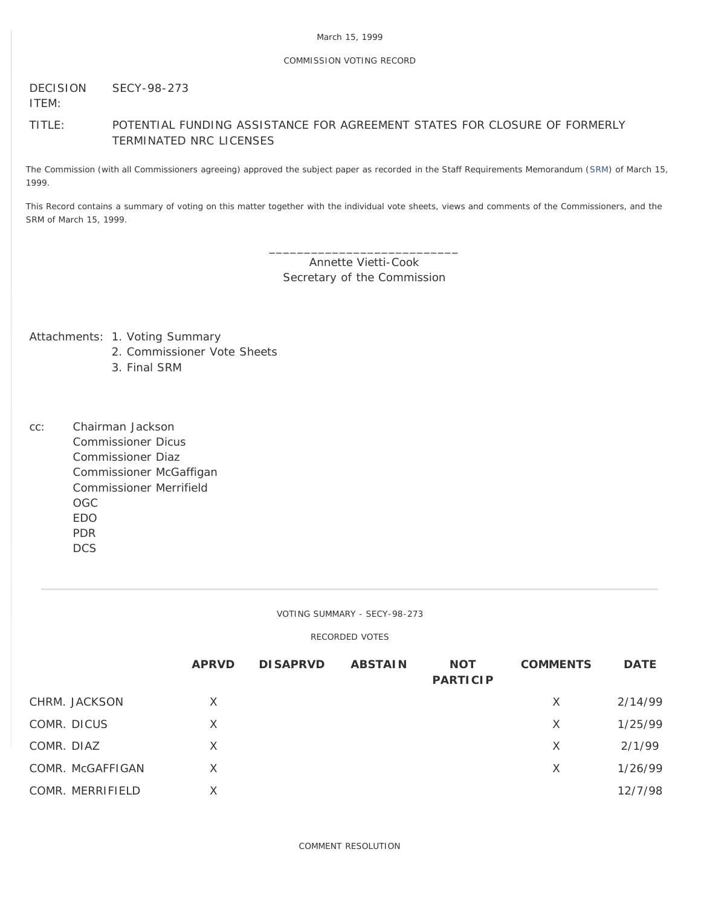## COMMISSION VOTING RECORD

#### DECISION ITEM: SECY-98-273

# TITLE: POTENTIAL FUNDING ASSISTANCE FOR AGREEMENT STATES FOR CLOSURE OF FORMERLY TERMINATED NRC LICENSES

The Commission (with all Commissioners agreeing) approved the subject paper as recorded in the Staff Requirements Memorandum [\(SRM](http://www.nrc.gov/reading-rm/doc-collections/commission/srm/1998/1998-273srm.html)) of March 15, 1999.

This Record contains a summary of voting on this matter together with the individual vote sheets, views and comments of the Commissioners, and the SRM of March 15, 1999.

> \_\_\_\_\_\_\_\_\_\_\_\_\_\_\_\_\_\_\_\_\_\_\_\_\_\_\_ Annette Vietti-Cook Secretary of the Commission

Attachments: 1. Voting Summary

- 2. Commissioner Vote Sheets
- 3. Final SRM
- cc: Chairman Jackson Commissioner Dicus Commissioner Diaz Commissioner McGaffigan Commissioner Merrifield OGC EDO PDR **DCS**

VOTING SUMMARY - SECY-98-273

RECORDED VOTES

|                  | <b>APRVD</b> | <b>DISAPRVD</b> | <b>ABSTAIN</b> | <b>NOT</b><br><b>PARTICIP</b> | <b>COMMENTS</b> | <b>DATE</b> |
|------------------|--------------|-----------------|----------------|-------------------------------|-----------------|-------------|
| CHRM. JACKSON    | X            |                 |                |                               | X               | 2/14/99     |
| COMR. DICUS      | X            |                 |                |                               | X               | 1/25/99     |
| COMR. DIAZ       | X            |                 |                |                               | X               | 2/1/99      |
| COMR. McGAFFIGAN | X            |                 |                |                               | X               | 1/26/99     |
| COMR. MERRIFIELD | X            |                 |                |                               |                 | 12/7/98     |